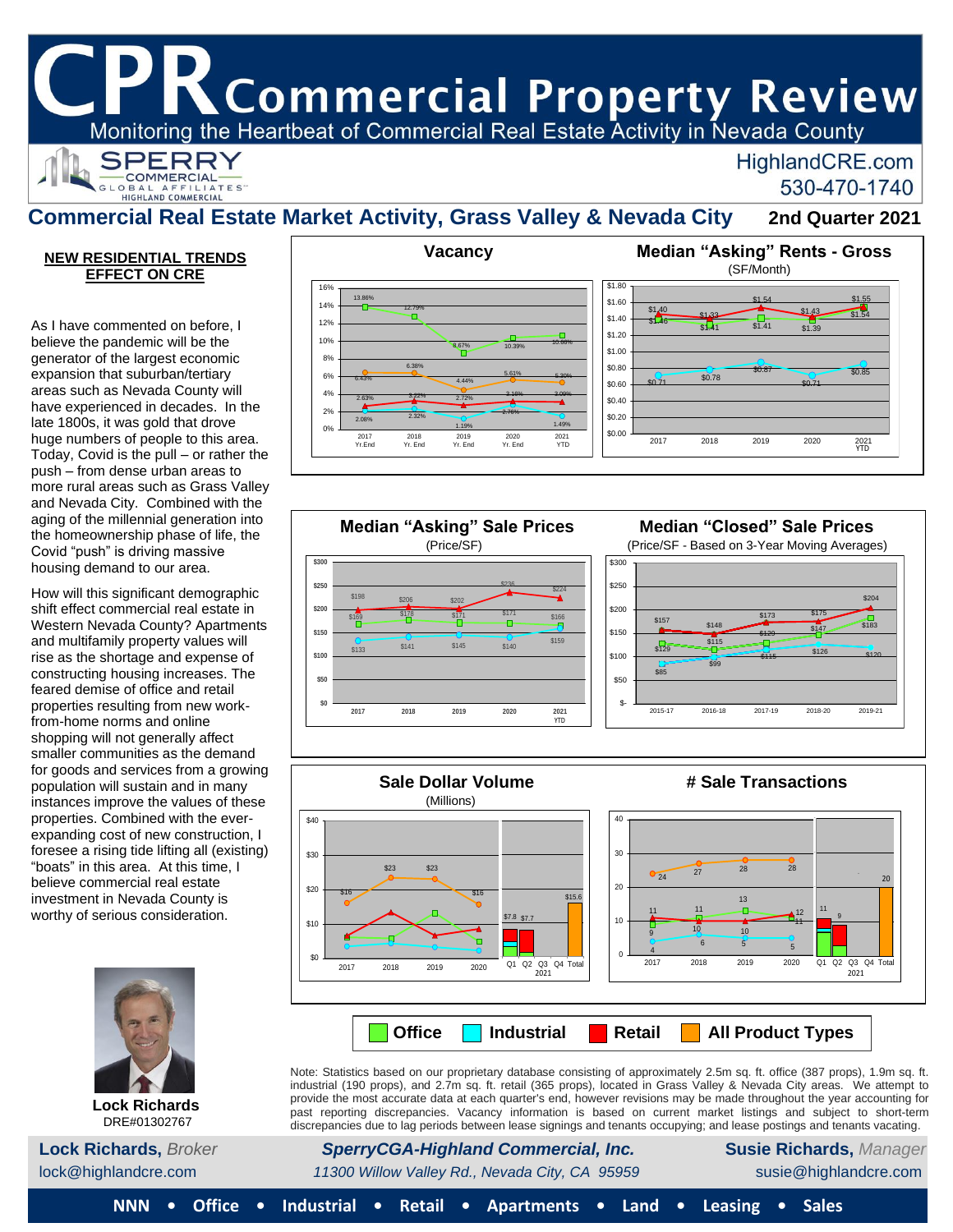K Commercial Property Review

Monitoring the Heartbeat of Commercial Real Estate Activity in Nevada County



## HighlandCRE.com 530-470-1740

## **Commercial Real Estate Market Activity, Grass Valley & Nevada City 2nd Quarter 2021**

#### **Stable Slow Growth NEW RESIDENTIAL TRENDS EFFECT ON CRE**

the homeownership phase of life, the Covid "push" is driving massive housing demand to our area. As I have commented on before, I believe the pandemic will be the generator of the largest economic expansion that suburban/tertiary areas such as Nevada County will have experienced in decades. In the late 1800s, it was gold that drove huge numbers of people to this area. Today, Covid is the pull – or rather the push – from dense urban areas to more rural areas such as Grass Valley and Nevada City. Combined with the aging of the millennial generation into

How will this significant demographic U.S. shift effect commercial real estate in Western Nevada County? Apartments and multifamily property values will rise as the shortage and expense of constructing housing increases. The feared demise of office and retail properties resulting from new workfrom-home norms and online shopping will not generally affect smaller communities as the demand for goods and services from a growing population will sustain and in many instances improve the values of these properties. Combined with the everexpanding cost of new construction, I foresee a rising tide lifting all (existing) "boats" in this area. At this time, I believe commercial real estate investment in Nevada County is worthy of serious consideration.



**Lock Richards** DRE#01302767







Note: Statistics based on our proprietary database consisting of approximately 2.5m sq. ft. office (387 props), 1.9m sq. ft. industrial (190 props), and 2.7m sq. ft. retail (365 props), located in Grass Valley & Nevada City areas. We attempt to provide the most accurate data at each quarter's end, however revisions may be made throughout the year accounting for past reporting discrepancies. Vacancy information is based on current market listings and subject to short-term discrepancies due to lag periods between lease signings and tenants occupying; and lease postings and tenants vacating.

**Lock Richards,** *Broker SperryCGA-Highland Commercial, Inc.* **Susie Richards,** *Manager* lock@highlandcre.com *11300 Willow Valley Rd., Nevada City, CA 95959* susie@highlandcre.com